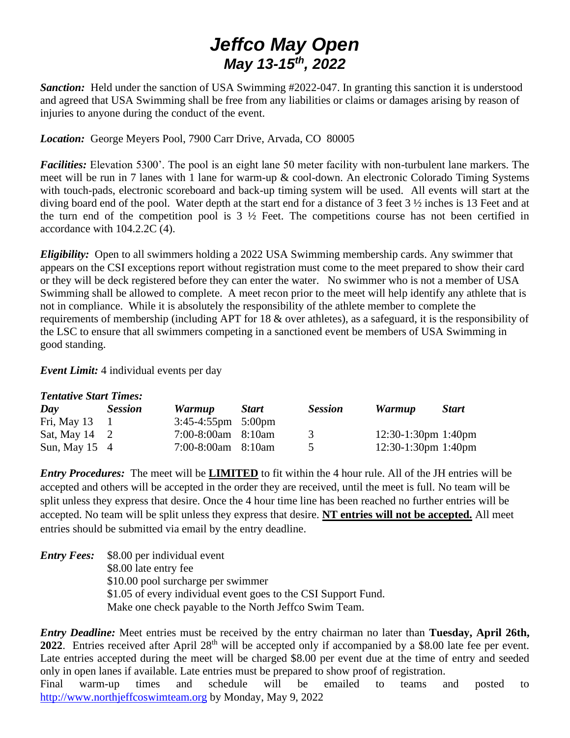# *Jeffco May Open May 13-15th, 2022*

**Sanction:** Held under the sanction of USA Swimming #2022-047. In granting this sanction it is understood and agreed that USA Swimming shall be free from any liabilities or claims or damages arising by reason of injuries to anyone during the conduct of the event.

*Location:* George Meyers Pool, 7900 Carr Drive, Arvada, CO 80005

*Facilities:* Elevation 5300'. The pool is an eight lane 50 meter facility with non-turbulent lane markers. The meet will be run in 7 lanes with 1 lane for warm-up & cool-down. An electronic Colorado Timing Systems with touch-pads, electronic scoreboard and back-up timing system will be used. All events will start at the diving board end of the pool. Water depth at the start end for a distance of 3 feet 3 ½ inches is 13 Feet and at the turn end of the competition pool is  $3\frac{1}{2}$  Feet. The competitions course has not been certified in accordance with 104.2.2C (4).

*Eligibility:* Open to all swimmers holding a 2022 USA Swimming membership cards. Any swimmer that appears on the CSI exceptions report without registration must come to the meet prepared to show their card or they will be deck registered before they can enter the water. No swimmer who is not a member of USA Swimming shall be allowed to complete. A meet recon prior to the meet will help identify any athlete that is not in compliance. While it is absolutely the responsibility of the athlete member to complete the requirements of membership (including APT for 18 & over athletes), as a safeguard, it is the responsibility of the LSC to ensure that all swimmers competing in a sanctioned event be members of USA Swimming in good standing.

*Event Limit:* 4 individual events per day

### *Tentative Start Times:*

| Day                   | <b>Session</b> | <b>Warmup</b>            | <b>Start</b> | <b>Session</b> | <b>Warmup</b>             | <b>Start</b> |
|-----------------------|----------------|--------------------------|--------------|----------------|---------------------------|--------------|
| Fri, May 13           | and the state  | $3:45-4:55$ pm $5:00$ pm |              |                |                           |              |
| Sat, May $14 \quad 2$ |                | $7:00-8:00$ am $8:10$ am |              | 3              | $12:30-1:30$ pm $1:40$ pm |              |
| Sun, May $15 \quad 4$ |                | $7:00-8:00$ am $8:10$ am |              |                | $12:30-1:30$ pm $1:40$ pm |              |

*Entry Procedures:* The meet will be **LIMITED** to fit within the 4 hour rule. All of the JH entries will be accepted and others will be accepted in the order they are received, until the meet is full. No team will be split unless they express that desire. Once the 4 hour time line has been reached no further entries will be accepted. No team will be split unless they express that desire. **NT entries will not be accepted.** All meet entries should be submitted via email by the entry deadline.

| <i>Entry Fees:</i> \$8.00 per individual event                 |
|----------------------------------------------------------------|
| \$8.00 late entry fee                                          |
| \$10.00 pool surcharge per swimmer                             |
| \$1.05 of every individual event goes to the CSI Support Fund. |
| Make one check payable to the North Jeffco Swim Team.          |

*Entry Deadline:* Meet entries must be received by the entry chairman no later than **Tuesday, April 26th,**  2022. Entries received after April 28<sup>th</sup> will be accepted only if accompanied by a \$8.00 late fee per event. Late entries accepted during the meet will be charged \$8.00 per event due at the time of entry and seeded only in open lanes if available. Late entries must be prepared to show proof of registration.

Final warm-up times and schedule will be emailed to teams and posted to [http://www.northjeffcoswimteam.org](http://www.northjeffcoswimteam.org/) by Monday, May 9, 2022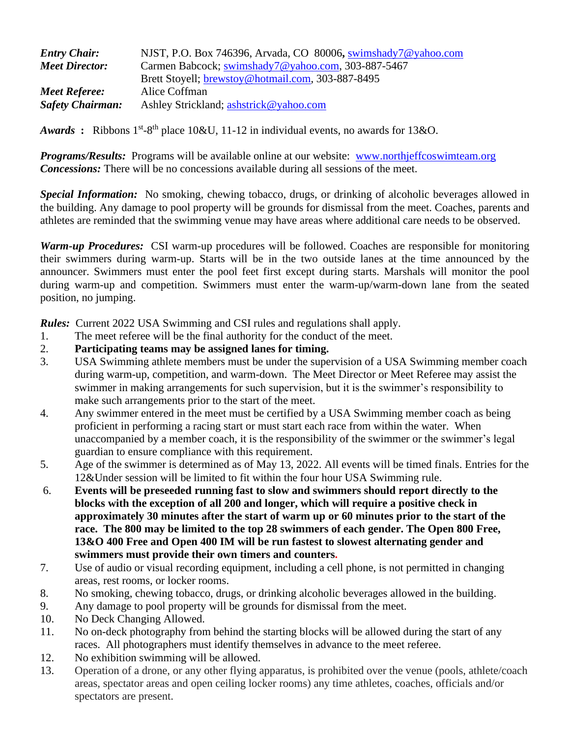| <b>Entry Chair:</b>     | NJST, P.O. Box 746396, Arvada, CO 80006, swimshady7@yahoo.com |
|-------------------------|---------------------------------------------------------------|
| <b>Meet Director:</b>   | Carmen Babcock; swimshady7@yahoo.com, 303-887-5467            |
|                         | Brett Stoyell; brewstoy@hotmail.com, 303-887-8495             |
| Meet Referee:           | Alice Coffman                                                 |
| <b>Safety Chairman:</b> | Ashley Strickland; ashstrick@yahoo.com                        |

*Awards* : Ribbons  $1^{st} - 8^{th}$  place 10&U, 11-12 in individual events, no awards for 13&O.

*Programs/Results:* Programs will be available online at our website: [www.northjeffcoswimteam.org](http://www.northjeffcoswimteam.org/) *Concessions:* There will be no concessions available during all sessions of the meet.

**Special Information:** No smoking, chewing tobacco, drugs, or drinking of alcoholic beverages allowed in the building. Any damage to pool property will be grounds for dismissal from the meet. Coaches, parents and athletes are reminded that the swimming venue may have areas where additional care needs to be observed.

*Warm-up Procedures:* CSI warm-up procedures will be followed. Coaches are responsible for monitoring their swimmers during warm-up. Starts will be in the two outside lanes at the time announced by the announcer. Swimmers must enter the pool feet first except during starts. Marshals will monitor the pool during warm-up and competition. Swimmers must enter the warm-up/warm-down lane from the seated position, no jumping.

*Rules:* Current 2022 USA Swimming and CSI rules and regulations shall apply.

- 1. The meet referee will be the final authority for the conduct of the meet.
- 2. **Participating teams may be assigned lanes for timing.**
- 3. USA Swimming athlete members must be under the supervision of a USA Swimming member coach during warm-up, competition, and warm-down. The Meet Director or Meet Referee may assist the swimmer in making arrangements for such supervision, but it is the swimmer's responsibility to make such arrangements prior to the start of the meet.
- 4. Any swimmer entered in the meet must be certified by a USA Swimming member coach as being proficient in performing a racing start or must start each race from within the water. When unaccompanied by a member coach, it is the responsibility of the swimmer or the swimmer's legal guardian to ensure compliance with this requirement.
- 5. Age of the swimmer is determined as of May 13, 2022. All events will be timed finals. Entries for the 12&Under session will be limited to fit within the four hour USA Swimming rule.
- 6. **Events will be preseeded running fast to slow and swimmers should report directly to the blocks with the exception of all 200 and longer, which will require a positive check in approximately 30 minutes after the start of warm up or 60 minutes prior to the start of the race. The 800 may be limited to the top 28 swimmers of each gender. The Open 800 Free, 13&O 400 Free and Open 400 IM will be run fastest to slowest alternating gender and swimmers must provide their own timers and counters.**
- 7. Use of audio or visual recording equipment, including a cell phone, is not permitted in changing areas, rest rooms, or locker rooms.
- 8. No smoking, chewing tobacco, drugs, or drinking alcoholic beverages allowed in the building.
- 9. Any damage to pool property will be grounds for dismissal from the meet.
- 10. No Deck Changing Allowed.
- 11. No on-deck photography from behind the starting blocks will be allowed during the start of any races. All photographers must identify themselves in advance to the meet referee.
- 12. No exhibition swimming will be allowed.
- 13. Operation of a drone, or any other flying apparatus, is prohibited over the venue (pools, athlete/coach areas, spectator areas and open ceiling locker rooms) any time athletes, coaches, officials and/or spectators are present.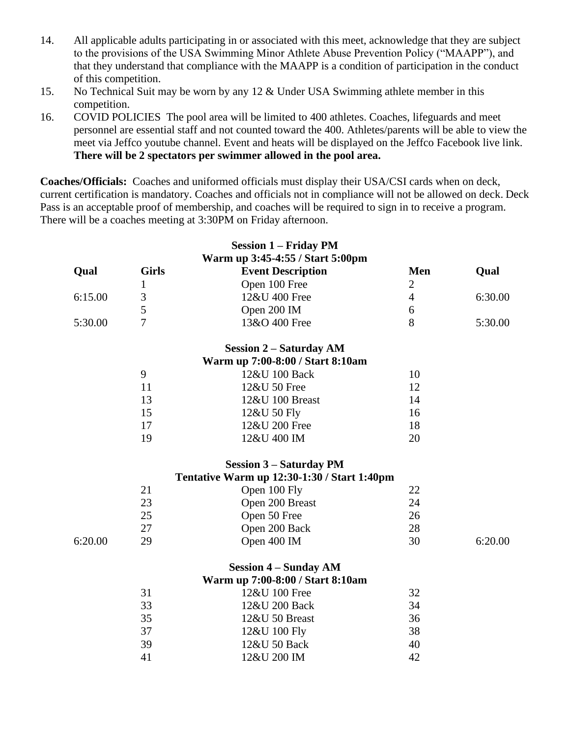- 14. All applicable adults participating in or associated with this meet, acknowledge that they are subject to the provisions of the USA Swimming Minor Athlete Abuse Prevention Policy ("MAAPP"), and that they understand that compliance with the MAAPP is a condition of participation in the conduct of this competition.
- 15. No Technical Suit may be worn by any 12 & Under USA Swimming athlete member in this competition.
- 16. COVID POLICIES The pool area will be limited to 400 athletes. Coaches, lifeguards and meet personnel are essential staff and not counted toward the 400. Athletes/parents will be able to view the meet via Jeffco youtube channel. Event and heats will be displayed on the Jeffco Facebook live link. **There will be 2 spectators per swimmer allowed in the pool area.**

**Coaches/Officials:** Coaches and uniformed officials must display their USA/CSI cards when on deck, current certification is mandatory. Coaches and officials not in compliance will not be allowed on deck. Deck Pass is an acceptable proof of membership, and coaches will be required to sign in to receive a program. There will be a coaches meeting at 3:30PM on Friday afternoon.

|         |                | <b>Session 1 – Friday PM</b>                |                |         |
|---------|----------------|---------------------------------------------|----------------|---------|
|         |                | Warm up 3:45-4:55 / Start 5:00pm            |                |         |
| Qual    | <b>Girls</b>   | <b>Event Description</b>                    | Men            | Qual    |
|         | $\mathbf{1}$   | Open 100 Free                               | $\mathbf{2}$   |         |
| 6:15.00 | $\mathfrak{Z}$ | 12&U 400 Free                               | $\overline{4}$ | 6:30.00 |
|         | 5              | Open 200 IM                                 | 6              |         |
| 5:30.00 | $\overline{7}$ | 13&O 400 Free                               | 8              | 5:30.00 |
|         |                | <b>Session 2 – Saturday AM</b>              |                |         |
|         |                | Warm up 7:00-8:00 / Start 8:10am            |                |         |
|         | 9              | 12&U 100 Back                               | 10             |         |
|         | 11             | 12&U 50 Free                                | 12             |         |
|         | 13             | 12&U 100 Breast                             | 14             |         |
|         | 15             | 12&U 50 Fly                                 | 16             |         |
|         | 17             | 12&U 200 Free                               | 18             |         |
|         | 19             | 12&U 400 IM                                 | 20             |         |
|         |                | <b>Session 3 – Saturday PM</b>              |                |         |
|         |                | Tentative Warm up 12:30-1:30 / Start 1:40pm |                |         |
|         | 21             | Open 100 Fly                                | 22             |         |
|         | 23             | Open 200 Breast                             | 24             |         |
|         | 25             | Open 50 Free                                | 26             |         |
|         | 27             | Open 200 Back                               | 28             |         |
| 6:20.00 | 29             | Open 400 IM                                 | 30             | 6:20.00 |
|         |                | <b>Session 4 – Sunday AM</b>                |                |         |
|         |                | Warm up 7:00-8:00 / Start 8:10am            |                |         |
|         | 31             | 12&U 100 Free                               | 32             |         |
|         | 33             | 12&U 200 Back                               | 34             |         |
|         | 35             | 12&U 50 Breast                              | 36             |         |
|         | 37             | 12&U 100 Fly                                | 38             |         |
|         | 39             | 12&U 50 Back                                | 40             |         |
|         | 41             | 12&U 200 IM                                 | 42             |         |